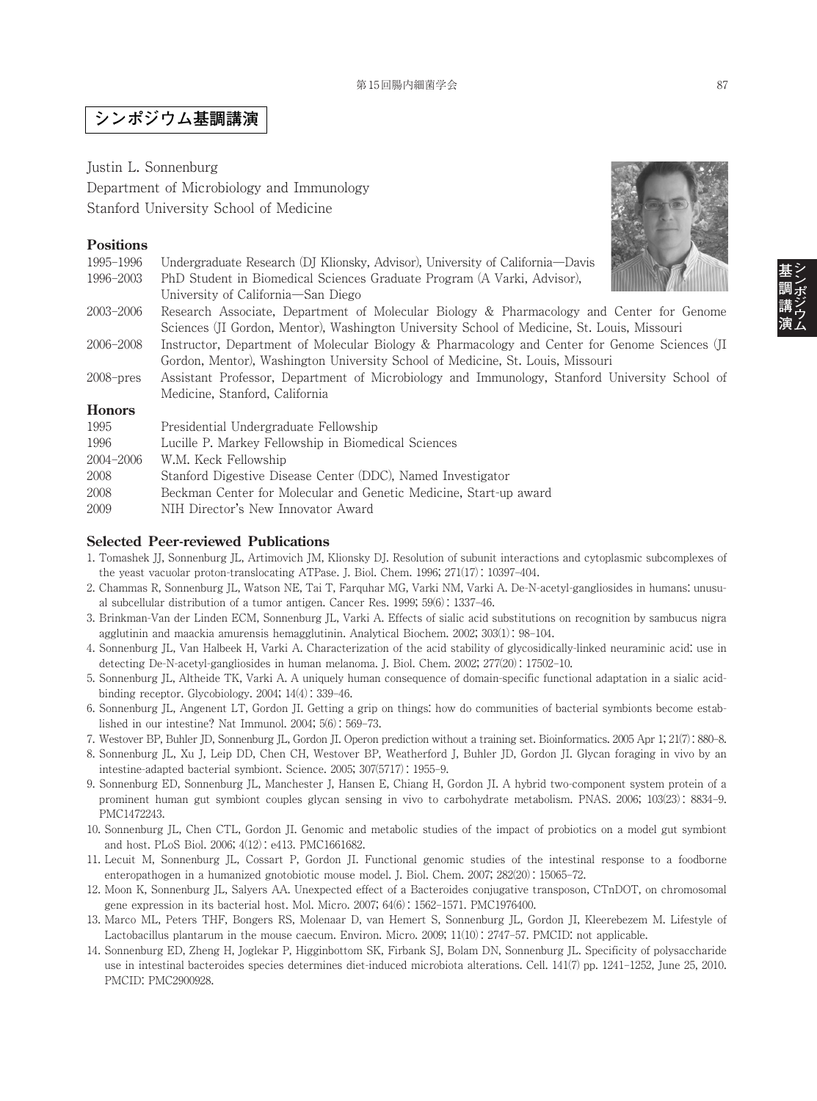# **シンポジウム基調講演**

Justin L. Sonnenburg Department of Microbiology and Immunology Stanford University School of Medicine

### **Positions**

| 1995–1996     | Undergraduate Research (DJ Klionsky, Advisor), University of California—Davis                                 |
|---------------|---------------------------------------------------------------------------------------------------------------|
| 1996-2003     | PhD Student in Biomedical Sciences Graduate Program (A Varki, Advisor),<br>University of California—San Diego |
| 2003–2006     | Research Associate, Department of Molecular Biology & Pharmacology and Center for Genome                      |
|               | Sciences (JI Gordon, Mentor), Washington University School of Medicine, St. Louis, Missouri                   |
| 2006–2008     | Instructor, Department of Molecular Biology & Pharmacology and Center for Genome Sciences (II                 |
|               | Gordon, Mentor), Washington University School of Medicine, St. Louis, Missouri                                |
| $2008$ -pres  | Assistant Professor, Department of Microbiology and Immunology, Stanford University School of                 |
|               | Medicine, Stanford, California                                                                                |
| <b>Honors</b> |                                                                                                               |
| 1995          | Presidential Undergraduate Fellowship                                                                         |
| 1996          | Lucille P. Markey Fellowship in Biomedical Sciences                                                           |
| 2004-2006     | W.M. Keck Fellowship                                                                                          |
| 2008          | Stanford Digestive Disease Center (DDC), Named Investigator                                                   |
| 2008          | Beckman Center for Molecular and Genetic Medicine, Start-up award                                             |
| 2009          | NIH Director's New Innovator Award                                                                            |
|               |                                                                                                               |

### **Selected Peer-reviewed Publications**

- 1. Tomashek JJ, Sonnenburg JL, Artimovich JM, Klionsky DJ. Resolution of subunit interactions and cytoplasmic subcomplexes of the yeast vacuolar proton-translocating ATPase. J. Biol. Chem. 1996; 271(17) : 10397–404.
- 2. Chammas R, Sonnenburg JL, Watson NE, Tai T, Farquhar MG, Varki NM, Varki A. De-N-acetyl-gangliosides in humans: unusual subcellular distribution of a tumor antigen. Cancer Res. 1999; 59(6) : 1337–46.
- 3. Brinkman-Van der Linden ECM, Sonnenburg JL, Varki A. Effects of sialic acid substitutions on recognition by sambucus nigra agglutinin and maackia amurensis hemagglutinin. Analytical Biochem. 2002; 303(1) : 98–104.
- 4. Sonnenburg JL, Van Halbeek H, Varki A. Characterization of the acid stability of glycosidically-linked neuraminic acid: use in detecting De-N-acetyl-gangliosides in human melanoma. J. Biol. Chem. 2002; 277(20) : 17502–10.
- 5. Sonnenburg JL, Altheide TK, Varki A. A uniquely human consequence of domain-specific functional adaptation in a sialic acidbinding receptor. Glycobiology. 2004; 14(4) : 339–46.
- 6. Sonnenburg JL, Angenent LT, Gordon JI. Getting a grip on things: how do communities of bacterial symbionts become established in our intestine? Nat Immunol. 2004; 5(6) : 569–73.
- 7. Westover BP, Buhler JD, Sonnenburg JL, Gordon JI. Operon prediction without a training set. Bioinformatics. 2005 Apr 1; 21(7) : 880–8.
- 8. Sonnenburg JL, Xu J, Leip DD, Chen CH, Westover BP, Weatherford J, Buhler JD, Gordon JI. Glycan foraging in vivo by an intestine-adapted bacterial symbiont. Science. 2005; 307(5717) : 1955–9.
- 9. Sonnenburg ED, Sonnenburg JL, Manchester J, Hansen E, Chiang H, Gordon JI. A hybrid two-component system protein of a prominent human gut symbiont couples glycan sensing in vivo to carbohydrate metabolism. PNAS. 2006; 103(23) : 8834–9. PMC1472243.
- 10. Sonnenburg JL, Chen CTL, Gordon JI. Genomic and metabolic studies of the impact of probiotics on a model gut symbiont and host. PLoS Biol. 2006; 4(12) : e413. PMC1661682.
- 11. Lecuit M, Sonnenburg JL, Cossart P, Gordon JI. Functional genomic studies of the intestinal response to a foodborne enteropathogen in a humanized gnotobiotic mouse model. J. Biol. Chem. 2007; 282(20) : 15065–72.
- 12. Moon K, Sonnenburg JL, Salyers AA. Unexpected effect of a Bacteroides conjugative transposon, CTnDOT, on chromosomal gene expression in its bacterial host. Mol. Micro. 2007; 64(6) : 1562–1571. PMC1976400.
- 13. Marco ML, Peters THF, Bongers RS, Molenaar D, van Hemert S, Sonnenburg JL, Gordon JI, Kleerebezem M. Lifestyle of Lactobacillus plantarum in the mouse caecum. Environ. Micro. 2009; 11(10) : 2747–57. PMCID: not applicable.
- 14. Sonnenburg ED, Zheng H, Joglekar P, Higginbottom SK, Firbank SJ, Bolam DN, Sonnenburg JL. Specificity of polysaccharide use in intestinal bacteroides species determines diet-induced microbiota alterations. Cell. 141(7) pp. 1241–1252, June 25, 2010. PMCID: PMC2900928.

**シ ン ポ ジ ウ ム**

**基 調 講 演**